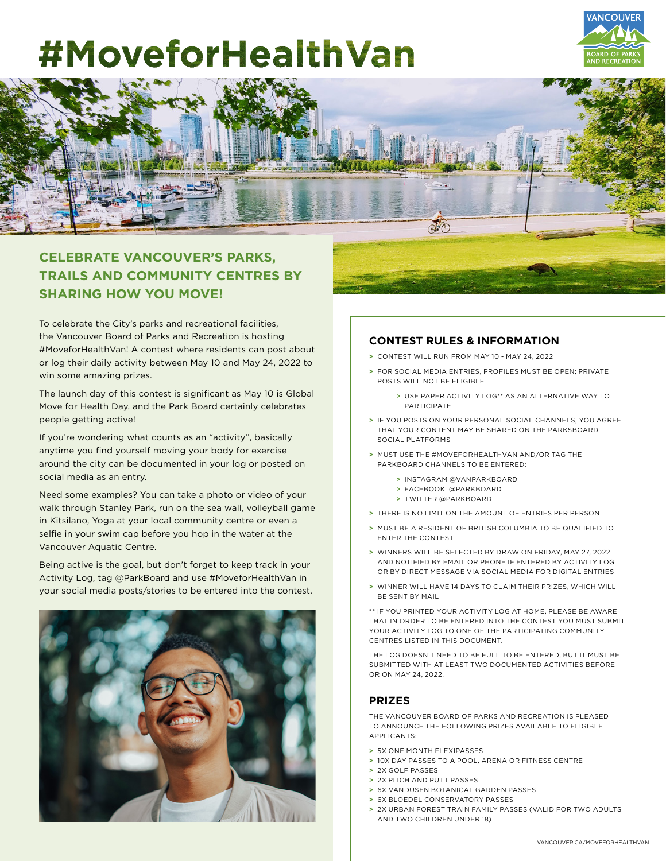# #MoveforHealthVan





## **CELEBRATE VANCOUVER'S PARKS, TRAILS AND COMMUNITY CENTRES BY SHARING HOW YOU MOVE!**

To celebrate the City's parks and recreational facilities, the Vancouver Board of Parks and Recreation is hosting #MoveforHealthVan! A contest where residents can post about or log their daily activity between May 10 and May 24, 2022 to win some amazing prizes.

The launch day of this contest is significant as May 10 is Global Move for Health Day, and the Park Board certainly celebrates people getting active!

If you're wondering what counts as an "activity", basically anytime you find yourself moving your body for exercise around the city can be documented in your log or posted on social media as an entry.

Need some examples? You can take a photo or video of your walk through Stanley Park, run on the sea wall, volleyball game in Kitsilano, Yoga at your local community centre or even a selfie in your swim cap before you hop in the water at the Vancouver Aquatic Centre.

Being active is the goal, but don't forget to keep track in your Activity Log, tag @ParkBoard and use #MoveforHealthVan in your social media posts/stories to be entered into the contest.



### **CONTEST RULES & INFORMATION**

- **>** CONTEST WILL RUN FROM MAY 10 MAY 24, 2022
- **>** FOR SOCIAL MEDIA ENTRIES, PROFILES MUST BE OPEN; PRIVATE POSTS WILL NOT BE ELIGIBLE
	- **>** USE PAPER ACTIVITY LOG\*\* AS AN ALTERNATIVE WAY TO PARTICIPATE
- **>** IF YOU POSTS ON YOUR PERSONAL SOCIAL CHANNELS, YOU AGREE THAT YOUR CONTENT MAY BE SHARED ON THE PARKSBOARD SOCIAL PLATFORMS
- **>** MUST USE THE #MOVEFORHEALTHVAN AND/OR TAG THE PARKBOARD CHANNELS TO BE ENTERED:
	- **>** INSTAGRAM @VANPARKBOARD
	- **>** FACEBOOK @PARKBOARD
	- **>** TWITTER @PARKBOARD
- **>** THERE IS NO LIMIT ON THE AMOUNT OF ENTRIES PER PERSON
- **>** MUST BE A RESIDENT OF BRITISH COLUMBIA TO BE QUALIFIED TO ENTER THE CONTEST
- **>** WINNERS WILL BE SELECTED BY DRAW ON FRIDAY, MAY 27, 2022 AND NOTIFIED BY EMAIL OR PHONE IF ENTERED BY ACTIVITY LOG OR BY DIRECT MESSAGE VIA SOCIAL MEDIA FOR DIGITAL ENTRIES
- **>** WINNER WILL HAVE 14 DAYS TO CLAIM THEIR PRIZES, WHICH WILL BE SENT BY MAIL

\*\* IF YOU PRINTED YOUR ACTIVITY LOG AT HOME, PLEASE BE AWARE THAT IN ORDER TO BE ENTERED INTO THE CONTEST YOU MUST SUBMIT YOUR ACTIVITY LOG TO ONE OF THE PARTICIPATING COMMUNITY CENTRES LISTED IN THIS DOCUMENT.

THE LOG DOESN'T NEED TO BE FULL TO BE ENTERED, BUT IT MUST BE SUBMITTED WITH AT LEAST TWO DOCUMENTED ACTIVITIES BEFORE OR ON MAY 24, 2022.

### **PRIZES**

THE VANCOUVER BOARD OF PARKS AND RECREATION IS PLEASED TO ANNOUNCE THE FOLLOWING PRIZES AVAILABLE TO ELIGIBLE APPLICANTS:

- **>** 5X ONE MONTH FLEXIPASSES
- **>** 10X DAY PASSES TO A POOL, ARENA OR FITNESS CENTRE
- **>** 2X GOLF PASSES
- **>** 2X PITCH AND PUTT PASSES
- **>** 6X VANDUSEN BOTANICAL GARDEN PASSES
- **>** 6X BLOEDEL CONSERVATORY PASSES
- **>** 2X URBAN FOREST TRAIN FAMILY PASSES (VALID FOR TWO ADULTS AND TWO CHILDREN UNDER 18)